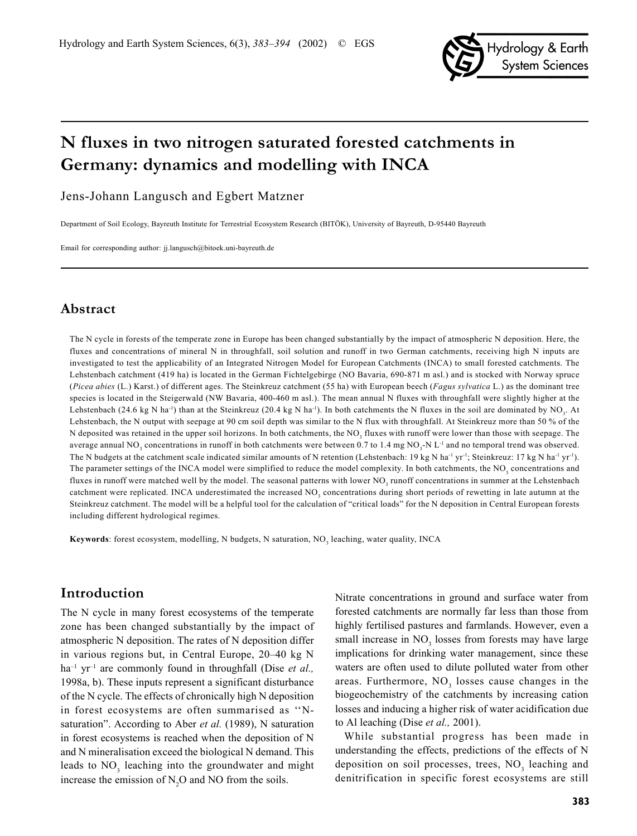

# **N fluxes in two nitrogen saturated forested catchments in Germany: dynamics and modelling with INCA**

Jens-Johann Langusch and Egbert Matzner

Department of Soil Ecology, Bayreuth Institute for Terrestrial Ecosystem Research (BITÖK), University of Bayreuth, D-95440 Bayreuth

Email for corresponding author: jj.langusch@bitoek.uni-bayreuth.de

### **Abstract**

The N cycle in forests of the temperate zone in Europe has been changed substantially by the impact of atmospheric N deposition. Here, the fluxes and concentrations of mineral N in throughfall, soil solution and runoff in two German catchments, receiving high N inputs are investigated to test the applicability of an Integrated Nitrogen Model for European Catchments (INCA) to small forested catchments. The Lehstenbach catchment (419 ha) is located in the German Fichtelgebirge (NO Bavaria, 690-871 m asl.) and is stocked with Norway spruce (*Picea abies* (L.) Karst.) of different ages. The Steinkreuz catchment (55 ha) with European beech (*Fagus sylvatica* L.) as the dominant tree species is located in the Steigerwald (NW Bavaria, 400-460 m asl.). The mean annual N fluxes with throughfall were slightly higher at the Lehstenbach (24.6 kg N ha<sup>-1</sup>) than at the Steinkreuz (20.4 kg N ha<sup>-1</sup>). In both catchments the N fluxes in the soil are dominated by NO<sub>3</sub>. At Lehstenbach, the N output with seepage at 90 cm soil depth was similar to the N flux with throughfall. At Steinkreuz more than 50 % of the N deposited was retained in the upper soil horizons. In both catchments, the NO<sub>3</sub> fluxes with runoff were lower than those with seepage. The average annual NO<sub>3</sub> concentrations in runoff in both catchments were between 0.7 to 1.4 mg NO<sub>3</sub>-N L<sup>-1</sup> and no temporal trend was observed. The N budgets at the catchment scale indicated similar amounts of N retention (Lehstenbach: 19 kg N ha<sup>-1</sup> yr<sup>-1</sup>; Steinkreuz: 17 kg N ha<sup>-1</sup> yr<sup>-1</sup>). The parameter settings of the INCA model were simplified to reduce the model complexity. In both catchments, the  $NO<sub>3</sub>$  concentrations and fluxes in runoff were matched well by the model. The seasonal patterns with lower  $NO<sub>3</sub>$  runoff concentrations in summer at the Lehstenbach catchment were replicated. INCA underestimated the increased  $NO<sub>3</sub>$  concentrations during short periods of rewetting in late autumn at the Steinkreuz catchment. The model will be a helpful tool for the calculation of "critical loads" for the N deposition in Central European forests including different hydrological regimes.

**Keywords**: forest ecosystem, modelling, N budgets, N saturation, NO<sub>3</sub> leaching, water quality, INCA

### **Introduction**

The N cycle in many forest ecosystems of the temperate zone has been changed substantially by the impact of atmospheric N deposition. The rates of N deposition differ in various regions but, in Central Europe, 20–40 kg N ha<sup>-1</sup> yr<sup>-1</sup> are commonly found in throughfall (Dise *et al.*, 1998a, b). These inputs represent a significant disturbance of the N cycle. The effects of chronically high N deposition in forest ecosystems are often summarised as ''Nsaturation". According to Aber *et al.* (1989), N saturation in forest ecosystems is reached when the deposition of N and N mineralisation exceed the biological N demand. This leads to  $NO<sub>3</sub>$  leaching into the groundwater and might increase the emission of  $N_2O$  and NO from the soils.

Nitrate concentrations in ground and surface water from forested catchments are normally far less than those from highly fertilised pastures and farmlands. However, even a small increase in  $NO<sub>3</sub>$  losses from forests may have large implications for drinking water management, since these waters are often used to dilute polluted water from other areas. Furthermore,  $NO<sub>3</sub>$  losses cause changes in the biogeochemistry of the catchments by increasing cation losses and inducing a higher risk of water acidification due to Al leaching (Dise *et al.,* 2001).

While substantial progress has been made in understanding the effects, predictions of the effects of N deposition on soil processes, trees,  $NO<sub>3</sub>$  leaching and denitrification in specific forest ecosystems are still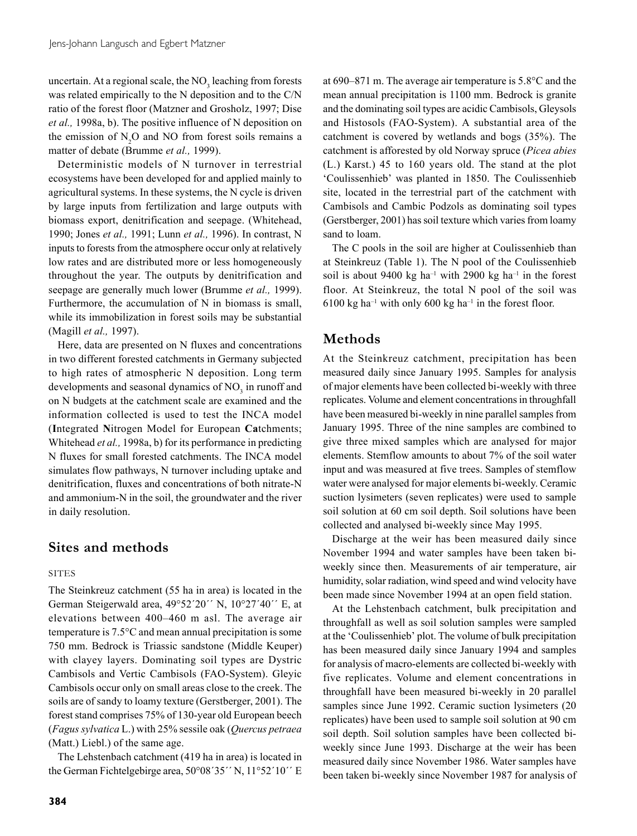uncertain. At a regional scale, the  $NO<sub>3</sub>$  leaching from forests was related empirically to the N deposition and to the C/N ratio of the forest floor (Matzner and Grosholz, 1997; Dise *et al.,* 1998a, b). The positive influence of N deposition on the emission of  $N_2$ O and NO from forest soils remains a matter of debate (Brumme *et al.,* 1999).

Deterministic models of N turnover in terrestrial ecosystems have been developed for and applied mainly to agricultural systems. In these systems, the N cycle is driven by large inputs from fertilization and large outputs with biomass export, denitrification and seepage. (Whitehead, 1990; Jones *et al.,* 1991; Lunn *et al.,* 1996). In contrast, N inputs to forests from the atmosphere occur only at relatively low rates and are distributed more or less homogeneously throughout the year. The outputs by denitrification and seepage are generally much lower (Brumme *et al.,* 1999). Furthermore, the accumulation of N in biomass is small, while its immobilization in forest soils may be substantial (Magill *et al.,* 1997).

Here, data are presented on N fluxes and concentrations in two different forested catchments in Germany subjected to high rates of atmospheric N deposition. Long term developments and seasonal dynamics of  $NO<sub>3</sub>$  in runoff and on N budgets at the catchment scale are examined and the information collected is used to test the INCA model (**I**ntegrated **N**itrogen Model for European **Ca**tchments; Whitehead *et al.,* 1998a, b) for its performance in predicting N fluxes for small forested catchments. The INCA model simulates flow pathways, N turnover including uptake and denitrification, fluxes and concentrations of both nitrate-N and ammonium-N in the soil, the groundwater and the river in daily resolution.

## **Sites and methods**

### **SITES**

The Steinkreuz catchment (55 ha in area) is located in the German Steigerwald area, 49°52´20´´ N, 10°27´40´´ E, at elevations between 400–460 m asl. The average air temperature is 7.5°C and mean annual precipitation is some 750 mm. Bedrock is Triassic sandstone (Middle Keuper) with clayey layers. Dominating soil types are Dystric Cambisols and Vertic Cambisols (FAO-System). Gleyic Cambisols occur only on small areas close to the creek. The soils are of sandy to loamy texture (Gerstberger, 2001). The forest stand comprises 75% of 130-year old European beech (*Fagus sylvatica* L.) with 25% sessile oak (*Quercus petraea* (Matt.) Liebl.) of the same age.

The Lehstenbach catchment (419 ha in area) is located in the German Fichtelgebirge area, 50°08´35´´ N, 11°52´10´´ E at 690–871 m. The average air temperature is 5.8°C and the mean annual precipitation is 1100 mm. Bedrock is granite and the dominating soil types are acidic Cambisols, Gleysols and Histosols (FAO-System). A substantial area of the catchment is covered by wetlands and bogs (35%). The catchment is afforested by old Norway spruce (*Picea abies* (L.) Karst.) 45 to 160 years old. The stand at the plot 'Coulissenhieb' was planted in 1850. The Coulissenhieb site, located in the terrestrial part of the catchment with Cambisols and Cambic Podzols as dominating soil types (Gerstberger, 2001) has soil texture which varies from loamy sand to loam.

The C pools in the soil are higher at Coulissenhieb than at Steinkreuz (Table 1). The N pool of the Coulissenhieb soil is about 9400 kg ha<sup>-1</sup> with 2900 kg ha<sup>-1</sup> in the forest floor. At Steinkreuz, the total N pool of the soil was 6100 kg ha<sup>-1</sup> with only 600 kg ha<sup>-1</sup> in the forest floor.

## **Methods**

At the Steinkreuz catchment, precipitation has been measured daily since January 1995. Samples for analysis of major elements have been collected bi-weekly with three replicates. Volume and element concentrations in throughfall have been measured bi-weekly in nine parallel samples from January 1995. Three of the nine samples are combined to give three mixed samples which are analysed for major elements. Stemflow amounts to about 7% of the soil water input and was measured at five trees. Samples of stemflow water were analysed for major elements bi-weekly. Ceramic suction lysimeters (seven replicates) were used to sample soil solution at 60 cm soil depth. Soil solutions have been collected and analysed bi-weekly since May 1995.

Discharge at the weir has been measured daily since November 1994 and water samples have been taken biweekly since then. Measurements of air temperature, air humidity, solar radiation, wind speed and wind velocity have been made since November 1994 at an open field station.

At the Lehstenbach catchment, bulk precipitation and throughfall as well as soil solution samples were sampled at the 'Coulissenhieb' plot. The volume of bulk precipitation has been measured daily since January 1994 and samples for analysis of macro-elements are collected bi-weekly with five replicates. Volume and element concentrations in throughfall have been measured bi-weekly in 20 parallel samples since June 1992. Ceramic suction lysimeters (20 replicates) have been used to sample soil solution at 90 cm soil depth. Soil solution samples have been collected biweekly since June 1993. Discharge at the weir has been measured daily since November 1986. Water samples have been taken bi-weekly since November 1987 for analysis of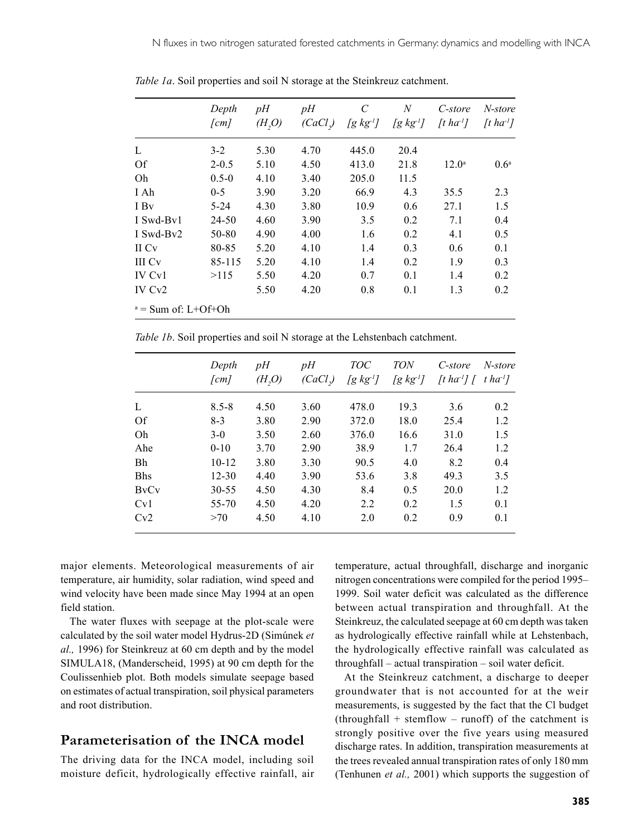|                       | Depth              | pH     | pH     | $\mathcal{C}$ | $\boldsymbol{N}$ | C-store                         | N-store                      |
|-----------------------|--------------------|--------|--------|---------------|------------------|---------------------------------|------------------------------|
|                       | $\lceil cm \rceil$ | (H, O) | (CaCl) | $[g \, kg^I]$ | $[g kg-1]$       | $\lceil t \, ha^{\perp} \rceil$ | $\lceil t \, ha^{-1} \rceil$ |
| L                     | $3-2$              | 5.30   | 4.70   | 445.0         | 20.4             |                                 |                              |
| <b>Of</b>             | $2 - 0.5$          | 5.10   | 4.50   | 413.0         | 21.8             | $12.0^{\circ}$                  | 0.6 <sup>a</sup>             |
| Oh                    | $0.5 - 0$          | 4.10   | 3.40   | 205.0         | 11.5             |                                 |                              |
| I Ah                  | $0 - 5$            | 3.90   | 3.20   | 66.9          | 4.3              | 35.5                            | 2.3                          |
| I By                  | $5 - 24$           | 4.30   | 3.80   | 10.9          | 0.6              | 27.1                            | 1.5                          |
| I Swd-By1             | 24-50              | 4.60   | 3.90   | 3.5           | 0.2              | 7.1                             | 0.4                          |
| I Swd-By2             | 50-80              | 4.90   | 4.00   | 1.6           | 0.2              | 4.1                             | 0.5                          |
| II Cv                 | 80-85              | 5.20   | 4.10   | 1.4           | 0.3              | 0.6                             | 0.1                          |
| III Cv                | 85-115             | 5.20   | 4.10   | 1.4           | 0.2              | 1.9                             | 0.3                          |
| IV Cy <sub>1</sub>    | >115               | 5.50   | 4.20   | 0.7           | 0.1              | 1.4                             | 0.2                          |
| IV Cv <sub>2</sub>    |                    | 5.50   | 4.20   | 0.8           | 0.1              | 1.3                             | 0.2                          |
| $a = Sum$ of: L+Of+Oh |                    |        |        |               |                  |                                 |                              |

*Table 1a*. Soil properties and soil N storage at the Steinkreuz catchment.

*Table 1b.* Soil properties and soil N storage at the Lehstenbach catchment.

|                                      | Depth<br>[cm] | pH<br>(H, O) | pH<br>(CaCl) | <i>TOC</i><br>[g $kg$ <sup>1</sup> ] | <b>TON</b><br>[g kg <sup>1</sup> ] | C-store<br>[t ha <sup>-1</sup> ] [ | N-store<br>$t$ ha <sup>-1</sup> ] |
|--------------------------------------|---------------|--------------|--------------|--------------------------------------|------------------------------------|------------------------------------|-----------------------------------|
| L                                    | $8.5 - 8$     | 4.50         | 3.60         | 478.0                                | 19.3                               | 3.6                                | 0.2                               |
| Of                                   | $8-3$         | 3.80         | 2.90         | 372.0                                | 18.0                               | 25.4                               | 1.2                               |
| Oh                                   | $3-0$         | 3.50         | 2.60         | 376.0                                | 16.6                               | 31.0                               | 1.5                               |
| Ahe                                  | $0 - 10$      | 3.70         | 2.90         | 38.9                                 | 1.7                                | 26.4                               | 1.2                               |
| Bh                                   | $10 - 12$     | 3.80         | 3.30         | 90.5                                 | 4.0                                | 8.2                                | 0.4                               |
| <b>Bhs</b>                           | $12 - 30$     | 4.40         | 3.90         | 53.6                                 | 3.8                                | 49.3                               | 3.5                               |
| <b>B</b> <sub>V</sub> C <sub>V</sub> | $30 - 55$     | 4.50         | 4.30         | 8.4                                  | 0.5                                | 20.0                               | 1.2                               |
| Cv1                                  | 55-70         | 4.50         | 4.20         | 2.2                                  | 0.2                                | 1.5                                | 0.1                               |
| Cv2                                  | >70           | 4.50         | 4.10         | 2.0                                  | 0.2                                | 0.9                                | 0.1                               |

major elements. Meteorological measurements of air temperature, air humidity, solar radiation, wind speed and wind velocity have been made since May 1994 at an open field station.

The water fluxes with seepage at the plot-scale were calculated by the soil water model Hydrus-2D (Simúnek *et al.,* 1996) for Steinkreuz at 60 cm depth and by the model SIMULA18, (Manderscheid, 1995) at 90 cm depth for the Coulissenhieb plot. Both models simulate seepage based on estimates of actual transpiration, soil physical parameters and root distribution.

## **Parameterisation of the INCA model**

The driving data for the INCA model, including soil moisture deficit, hydrologically effective rainfall, air temperature, actual throughfall, discharge and inorganic nitrogen concentrations were compiled for the period 1995– 1999. Soil water deficit was calculated as the difference between actual transpiration and throughfall. At the Steinkreuz, the calculated seepage at 60 cm depth was taken as hydrologically effective rainfall while at Lehstenbach, the hydrologically effective rainfall was calculated as throughfall – actual transpiration – soil water deficit.

At the Steinkreuz catchment, a discharge to deeper groundwater that is not accounted for at the weir measurements, is suggested by the fact that the Cl budget  $(throughfall + stemflow - runoff)$  of the catchment is strongly positive over the five years using measured discharge rates. In addition, transpiration measurements at the trees revealed annual transpiration rates of only 180 mm (Tenhunen *et al.,* 2001) which supports the suggestion of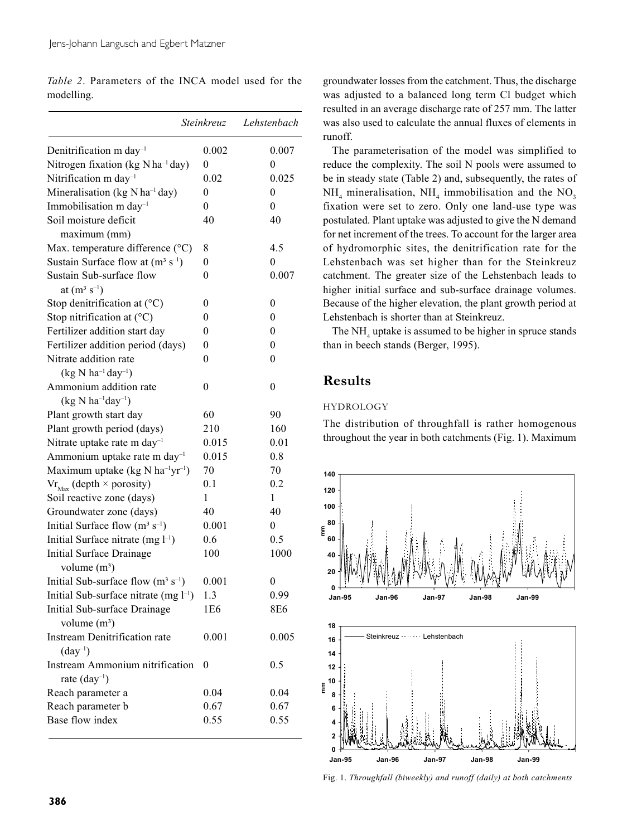|            | <i>Table 2.</i> Parameters of the INCA model used for the |  |  |  |  |
|------------|-----------------------------------------------------------|--|--|--|--|
| modelling. |                                                           |  |  |  |  |

|                                                          | Steinkreuz       | Lehstenbach      |
|----------------------------------------------------------|------------------|------------------|
| Denitrification m day <sup>-1</sup>                      | 0.002            | 0.007            |
| Nitrogen fixation (kg N ha <sup>-1</sup> day)            | $\theta$         | 0                |
| Nitrification m day <sup>-1</sup>                        | 0.02             | 0.025            |
| Mineralisation (kg $N$ ha <sup>-1</sup> day)             | $\boldsymbol{0}$ | 0                |
| Immobilisation m day <sup>-1</sup>                       | $\theta$         | $\theta$         |
| Soil moisture deficit                                    | 40               | 40               |
| maximum (mm)                                             |                  |                  |
| Max. temperature difference (°C)                         | 8                | 4.5              |
| Sustain Surface flow at $(m^3 s^{-1})$                   | 0                | 0                |
| Sustain Sub-surface flow                                 | $\boldsymbol{0}$ | 0.007            |
| at $(m^3 s^{-1})$                                        |                  |                  |
| Stop denitrification at $({}^{\circ}C)$                  | 0                | $\mathbf{0}$     |
| Stop nitrification at (°C)                               | 0                | 0                |
| Fertilizer addition start day                            | 0                | 0                |
| Fertilizer addition period (days)                        | $\overline{0}$   | 0                |
| Nitrate addition rate                                    | $\boldsymbol{0}$ | $\mathbf{0}$     |
| $(kg N ha^{-1}day^{-1})$                                 |                  |                  |
| Ammonium addition rate                                   | $\boldsymbol{0}$ | $\boldsymbol{0}$ |
| $(kg N ha^{-1}day^{-1})$                                 |                  |                  |
| Plant growth start day                                   | 60               | 90               |
| Plant growth period (days)                               | 210              | 160              |
| Nitrate uptake rate m day <sup>-1</sup>                  | 0.015            | 0.01             |
| Ammonium uptake rate m day <sup>-1</sup>                 | 0.015            | 0.8              |
| Maximum uptake (kg N ha <sup>-1</sup> yr <sup>-1</sup> ) | 70               | 70               |
| $\text{Vr}_{\text{Max}}$ (depth $\times$ porosity)       | 0.1              | 0.2              |
| Soil reactive zone (days)                                | 1                | 1                |
| Groundwater zone (days)                                  | 40               | 40               |
| Initial Surface flow $(m^3 s^{-1})$                      | 0.001            | $\overline{0}$   |
| Initial Surface nitrate $(mg l^{-1})$                    | 0.6              | 0.5              |
| Initial Surface Drainage                                 | 100              | 1000             |
| volume $(m^3)$                                           |                  |                  |
| Initial Sub-surface flow $(m^3 s^{-1})$                  | 0.001            | $\mathbf{0}$     |
| Initial Sub-surface nitrate (mg l <sup>-1</sup> )        | 1.3              | 0.99             |
| Initial Sub-surface Drainage                             | 1E6              | 8E6              |
| volume $(m^3)$                                           |                  |                  |
| <b>Instream Denitrification rate</b>                     | 0.001            | 0.005            |
| $(\text{day}^{-1})$                                      |                  |                  |
| Instream Ammonium nitrification                          | 0                | 0.5              |
| rate (day <sup>-1</sup> )                                |                  |                  |
| Reach parameter a                                        | 0.04             | 0.04             |
| Reach parameter b                                        | 0.67             | 0.67             |
| Base flow index                                          | 0.55             | 0.55             |
|                                                          |                  |                  |

groundwater losses from the catchment. Thus, the discharge was adjusted to a balanced long term Cl budget which resulted in an average discharge rate of 257 mm. The latter was also used to calculate the annual fluxes of elements in runoff.

The parameterisation of the model was simplified to reduce the complexity. The soil N pools were assumed to be in steady state (Table 2) and, subsequently, the rates of  $NH_4$  mineralisation,  $NH_4$  immobilisation and the  $NO_3$ fixation were set to zero. Only one land-use type was postulated. Plant uptake was adjusted to give the N demand for net increment of the trees. To account for the larger area of hydromorphic sites, the denitrification rate for the Lehstenbach was set higher than for the Steinkreuz catchment. The greater size of the Lehstenbach leads to higher initial surface and sub-surface drainage volumes. Because of the higher elevation, the plant growth period at Lehstenbach is shorter than at Steinkreuz.

The  $NH<sub>4</sub>$  uptake is assumed to be higher in spruce stands than in beech stands (Berger, 1995).

## **Results**

### **HYDROLOGY**

The distribution of throughfall is rather homogenous throughout the year in both catchments (Fig. 1). Maximum



Fig. 1. *Throughfall (biweekly) and runoff (daily) at both catchments*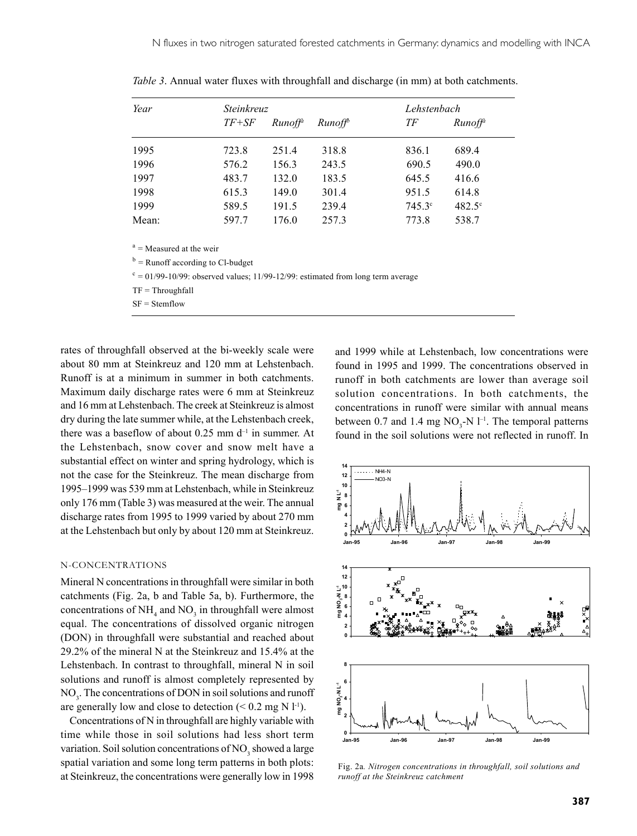| Year  | Steinkreuz |                     |        | Lehstenbach     |                 |
|-------|------------|---------------------|--------|-----------------|-----------------|
|       | $TF+SF$    | Runoff <sup>a</sup> | Runoff | ТF              | $Runoff^a$      |
| 1995  | 723.8      | 251.4               | 318.8  | 836.1           | 689.4           |
| 1996  | 576.2      | 156.3               | 243.5  | 690.5           | 490.0           |
| 1997  | 483.7      | 132.0               | 183.5  | 645.5           | 416.6           |
| 1998  | 615.3      | 149.0               | 301.4  | 951.5           | 614.8           |
| 1999  | 589.5      | 191.5               | 239.4  | $745.3^{\circ}$ | $482.5^{\circ}$ |
| Mean: | 597.7      | 176.0               | 257.3  | 773.8           | 538.7           |

*Table 3*. Annual water fluxes with throughfall and discharge (in mm) at both catchments.

 $a =$ Measured at the weir

 $b =$ Runoff according to Cl-budget

 $c = 01/99-10/99$ : observed values; 11/99-12/99: estimated from long term average

 $TF = Throughfall$ 

SF = Stemflow

rates of throughfall observed at the bi-weekly scale were about 80 mm at Steinkreuz and 120 mm at Lehstenbach. Runoff is at a minimum in summer in both catchments. Maximum daily discharge rates were 6 mm at Steinkreuz and 16 mm at Lehstenbach. The creek at Steinkreuz is almost dry during the late summer while, at the Lehstenbach creek, there was a baseflow of about  $0.25$  mm  $d^{-1}$  in summer. At the Lehstenbach, snow cover and snow melt have a substantial effect on winter and spring hydrology, which is not the case for the Steinkreuz. The mean discharge from 1995–1999 was 539 mm at Lehstenbach, while in Steinkreuz only 176 mm (Table 3) was measured at the weir. The annual discharge rates from 1995 to 1999 varied by about 270 mm at the Lehstenbach but only by about 120 mm at Steinkreuz.

#### N-CONCENTRATIONS

Mineral N concentrations in throughfall were similar in both catchments (Fig. 2a, b and Table 5a, b). Furthermore, the concentrations of  $NH_4$  and  $NO_3$  in throughfall were almost equal. The concentrations of dissolved organic nitrogen (DON) in throughfall were substantial and reached about 29.2% of the mineral N at the Steinkreuz and 15.4% at the Lehstenbach. In contrast to throughfall, mineral N in soil solutions and runoff is almost completely represented by  $NO<sub>3</sub>$ . The concentrations of DON in soil solutions and runoff are generally low and close to detection  $(< 0.2$  mg N l<sup>-1</sup>).

Concentrations of N in throughfall are highly variable with time while those in soil solutions had less short term variation. Soil solution concentrations of  $NO<sub>3</sub>$  showed a large spatial variation and some long term patterns in both plots: at Steinkreuz, the concentrations were generally low in 1998

and 1999 while at Lehstenbach, low concentrations were found in 1995 and 1999. The concentrations observed in runoff in both catchments are lower than average soil solution concentrations. In both catchments, the concentrations in runoff were similar with annual means between 0.7 and 1.4 mg  $NO_3$ -N  $l$ <sup>-1</sup>. The temporal patterns found in the soil solutions were not reflected in runoff. In



Fig. 2a*. Nitrogen concentrations in throughfall, soil solutions and runoff at the Steinkreuz catchment*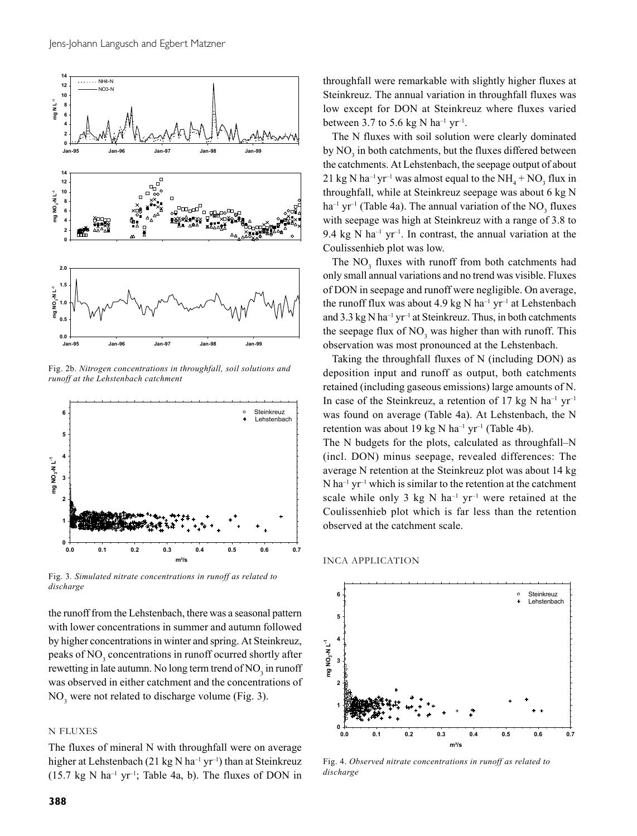

Fig. 2b. *Nitrogen concentrations in throughfall, soil solutions and runoff at the Lehstenbach catchment*



Fig. 3*. Simulated nitrate concentrations in runoff as related to discharge*

the runoff from the Lehstenbach, there was a seasonal pattern with lower concentrations in summer and autumn followed by higher concentrations in winter and spring. At Steinkreuz, peaks of NO<sub>3</sub> concentrations in runoff ocurred shortly after rewetting in late autumn. No long term trend of  $\mathrm{NO}_3^{\vphantom{\dagger}}$  in runoff was observed in either catchment and the concentrations of  $NO<sub>3</sub>$  were not related to discharge volume (Fig. 3).

### N FLUXES

The fluxes of mineral N with throughfall were on average higher at Lehstenbach (21 kg N ha<sup>-1</sup> yr<sup>-1</sup>) than at Steinkreuz (15.7 kg N ha<sup>-1</sup> yr<sup>-1</sup>; Table 4a, b). The fluxes of DON in throughfall were remarkable with slightly higher fluxes at Steinkreuz. The annual variation in throughfall fluxes was low except for DON at Steinkreuz where fluxes varied between 3.7 to 5.6 kg N ha<sup>-1</sup> yr<sup>-1</sup>.

The N fluxes with soil solution were clearly dominated by  $\rm NO_3$  in both catchments, but the fluxes differed between the catchments. At Lehstenbach, the seepage output of about 21 kg N ha<sup>-1</sup> yr<sup>-1</sup> was almost equal to the  $NH_4 + NO_3$  flux in throughfall, while at Steinkreuz seepage was about 6 kg N  $ha^{-1}$  yr<sup>-1</sup> (Table 4a). The annual variation of the NO<sub>3</sub> fluxes with seepage was high at Steinkreuz with a range of 3.8 to 9.4 kg N ha<sup>-1</sup> yr<sup>-1</sup>. In contrast, the annual variation at the Coulissenhieb plot was low.

The  $NO<sub>3</sub>$  fluxes with runoff from both catchments had only small annual variations and no trend was visible. Fluxes of DON in seepage and runoff were negligible. On average, the runoff flux was about 4.9 kg N ha<sup>-1</sup> yr<sup>-1</sup> at Lehstenbach and 3.3 kg N ha<sup>-1</sup> yr<sup>-1</sup> at Steinkreuz. Thus, in both catchments the seepage flux of  $NO<sub>3</sub>$  was higher than with runoff. This observation was most pronounced at the Lehstenbach.

Taking the throughfall fluxes of N (including DON) as deposition input and runoff as output, both catchments retained (including gaseous emissions) large amounts of N. In case of the Steinkreuz, a retention of 17 kg N ha<sup>-1</sup> yr<sup>-1</sup> was found on average (Table 4a). At Lehstenbach, the N retention was about 19 kg N ha<sup>-1</sup> yr<sup>-1</sup> (Table 4b).

The N budgets for the plots, calculated as throughfall–N (incl. DON) minus seepage, revealed differences: The average N retention at the Steinkreuz plot was about 14 kg  $N$  ha<sup>-1</sup> yr<sup>-1</sup> which is similar to the retention at the catchment scale while only 3 kg N ha<sup>-1</sup> yr<sup>-1</sup> were retained at the Coulissenhieb plot which is far less than the retention observed at the catchment scale.

INCA APPLICATION



Fig. 4. *Observed nitrate concentrations in runoff as related to discharge*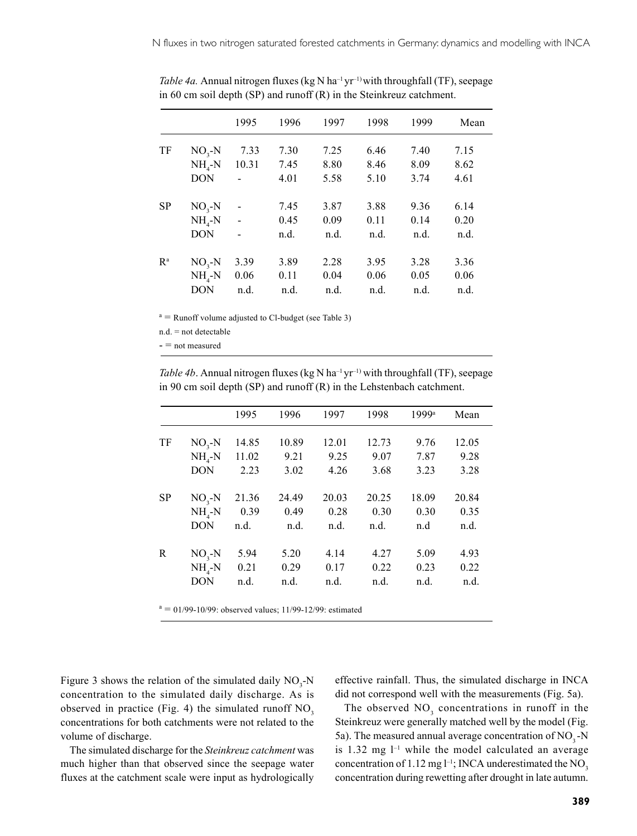|                           |            | 1995                     | 1996 | 1997 | 1998 | 1999 | Mean |
|---------------------------|------------|--------------------------|------|------|------|------|------|
| TF                        | $NO3-N$    | 7.33                     | 7.30 | 7.25 | 6.46 | 7.40 | 7.15 |
|                           | $NH_{4}-N$ | 10.31                    | 7.45 | 8.80 | 8.46 | 8.09 | 8.62 |
|                           | <b>DON</b> |                          | 4.01 | 5.58 | 5.10 | 3.74 | 4.61 |
| <b>SP</b>                 | $NO3-N$    | $\overline{\phantom{0}}$ | 7.45 | 3.87 | 3.88 | 9.36 | 6.14 |
|                           | $NH_{4}-N$ | $\overline{a}$           | 0.45 | 0.09 | 0.11 | 0.14 | 0.20 |
|                           | <b>DON</b> |                          | n.d. | n.d. | n.d. | n.d. | n.d. |
| $\mathbb{R}^{\mathrm{a}}$ | $NO3-N$    | 3.39                     | 3.89 | 2.28 | 3.95 | 3.28 | 3.36 |
|                           | $NH_{4}-N$ | 0.06                     | 0.11 | 0.04 | 0.06 | 0.05 | 0.06 |
|                           | <b>DON</b> | n.d.                     | n.d. | n.d. | n.d. | n.d. | n.d. |

*Table 4a.* Annual nitrogen fluxes (kg N ha<sup>-1</sup> yr<sup>-1)</sup> with throughfall (TF), seepage in 60 cm soil depth (SP) and runoff (R) in the Steinkreuz catchment.

 $a =$  Runoff volume adjusted to Cl-budget (see Table 3)

n.d. = not detectable

- = not measured

*Table 4b*. Annual nitrogen fluxes (kg N ha<sup>-1</sup> yr<sup>-1)</sup> with throughfall (TF), seepage in 90 cm soil depth (SP) and runoff (R) in the Lehstenbach catchment.

|            | 1995                                                       | 1996           | 1997  | 1998  | 1999a | Mean  |
|------------|------------------------------------------------------------|----------------|-------|-------|-------|-------|
|            |                                                            |                |       |       |       | 12.05 |
|            | 11.02                                                      | 9.21           | 9.25  | 9.07  | 7.87  | 9.28  |
| <b>DON</b> | 2.23                                                       | 3.02           | 4.26  | 3.68  | 3.23  | 3.28  |
|            |                                                            | 24.49          | 20.03 | 20.25 | 18.09 | 20.84 |
| $NH_{4}-N$ | 0.39                                                       | 0.49           | 0.28  | 0.30  | 0.30  | 0.35  |
| <b>DON</b> | n.d.                                                       | n.d.           | n.d.  | n.d.  | n.d   | n.d.  |
|            | 5.94                                                       | 5.20           | 4.14  | 4.27  | 5.09  | 4.93  |
|            | 0.21                                                       | 0.29           | 0.17  | 0.22  | 0.23  | 0.22  |
| <b>DON</b> | n.d.                                                       | n.d.           | n.d.  | n.d.  | n.d.  | n.d.  |
|            | $NO3-N$<br>$NH_{4}-N$<br>$NO3-N$<br>$NO3-N$<br>$NH_{4}$ -N | 14.85<br>21.36 | 10.89 | 12.01 | 12.73 | 9.76  |

 $a = 01/99 - 10/99$ : observed values; 11/99-12/99: estimated

Figure 3 shows the relation of the simulated daily  $NO_3$ -N concentration to the simulated daily discharge. As is observed in practice (Fig. 4) the simulated runoff  $NO<sub>3</sub>$ concentrations for both catchments were not related to the volume of discharge.

The simulated discharge for the *Steinkreuz catchment* was much higher than that observed since the seepage water fluxes at the catchment scale were input as hydrologically effective rainfall. Thus, the simulated discharge in INCA did not correspond well with the measurements (Fig. 5a).

The observed  $NO<sub>3</sub>$  concentrations in runoff in the Steinkreuz were generally matched well by the model (Fig. 5a). The measured annual average concentration of  $NO<sub>3</sub>$ -N is  $1.32$  mg  $l^{-1}$  while the model calculated an average concentration of 1.12 mg  $l^{-1}$ ; INCA underestimated the NO<sub>3</sub> concentration during rewetting after drought in late autumn.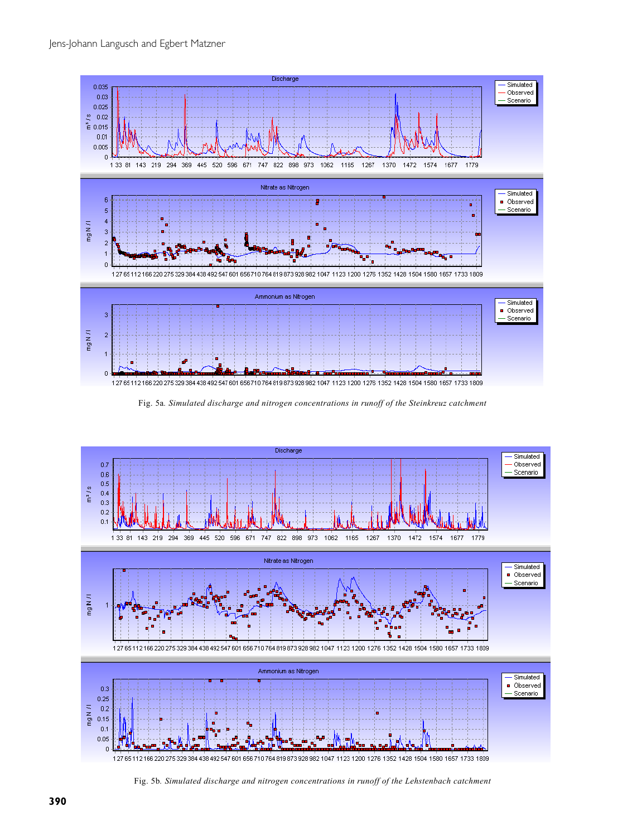

Fig. 5a*. Simulated discharge and nitrogen concentrations in runoff of the Steinkreuz catchment*



Fig. 5b*. Simulated discharge and nitrogen concentrations in runoff of the Lehstenbach catchment*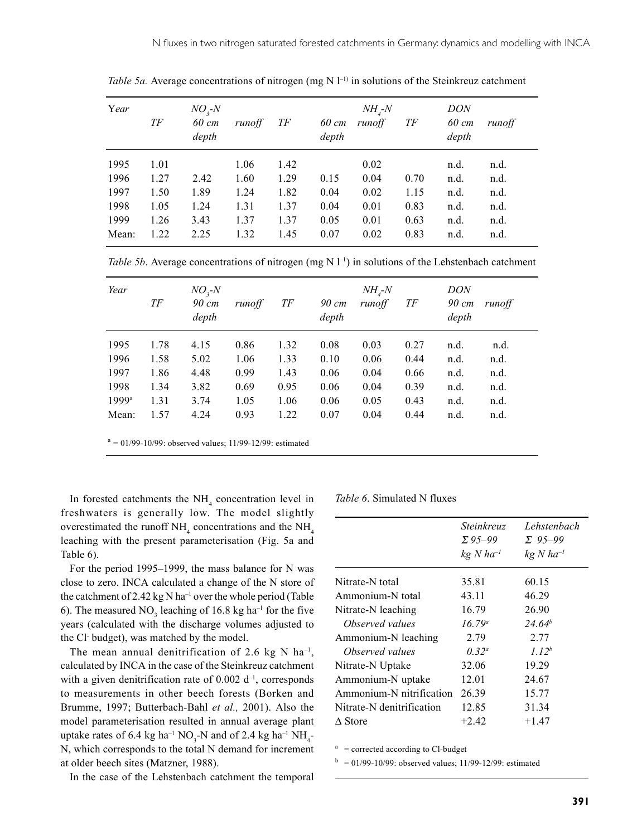| Year  | ТF   | $NO3-N$<br>60 cm<br>depth | runoff | ТF   | 60 cm<br>depth | $NH_{4}$ -N<br>runoff | ТF   | <i>DON</i><br>60 cm<br>depth | runoff |
|-------|------|---------------------------|--------|------|----------------|-----------------------|------|------------------------------|--------|
| 1995  | 1.01 |                           | 1.06   | 1.42 |                | 0.02                  |      | n.d.                         | n.d.   |
| 1996  | 1.27 | 2.42                      | 1.60   | 1.29 | 0.15           | 0.04                  | 0.70 | n.d.                         | n.d.   |
| 1997  | 1.50 | 1.89                      | 1.24   | 1.82 | 0.04           | 0.02                  | 1.15 | n.d.                         | n.d.   |
| 1998  | 1.05 | 1.24                      | 1.31   | 1.37 | 0.04           | 0.01                  | 0.83 | n.d.                         | n.d.   |
| 1999  | 1.26 | 3.43                      | 1.37   | 1.37 | 0.05           | 0.01                  | 0.63 | n.d.                         | n.d.   |
| Mean: | 1.22 | 2.25                      | 1.32   | 1.45 | 0.07           | 0.02                  | 0.83 | n.d.                         | n.d.   |

*Table 5a.* Average concentrations of nitrogen (mg N  $I^{-1}$ ) in solutions of the Steinkreuz catchment

*Table 5b.* Average concentrations of nitrogen (mg  $N l^{-1}$ ) in solutions of the Lehstenbach catchment

| Year                | ТF   | $NO3-N$<br>90 cm<br>depth | runoff | TF   | 90 cm<br>depth | $NH_{4}$ -N<br>runoff | TF   | <i>DON</i><br>90 cm<br>depth | runoff |
|---------------------|------|---------------------------|--------|------|----------------|-----------------------|------|------------------------------|--------|
| 1995                | 1.78 | 4.15                      | 0.86   | 1.32 | 0.08           | 0.03                  | 0.27 | n.d.                         | n.d.   |
| 1996                | 1.58 | 5.02                      | 1.06   | 1.33 | 0.10           | 0.06                  | 0.44 | n.d.                         | n.d.   |
| 1997                | 1.86 | 4.48                      | 0.99   | 1.43 | 0.06           | 0.04                  | 0.66 | n.d.                         | n.d.   |
| 1998                | 1.34 | 3.82                      | 0.69   | 0.95 | 0.06           | 0.04                  | 0.39 | n.d.                         | n.d.   |
| $1999$ <sup>a</sup> | 1.31 | 3.74                      | 1.05   | 1.06 | 0.06           | 0.05                  | 0.43 | n.d.                         | n.d.   |
| Mean:               | 1.57 | 4.24                      | 0.93   | 1.22 | 0.07           | 0.04                  | 0.44 | n.d.                         | n.d.   |

In forested catchments the  $NH<sub>4</sub>$  concentration level in freshwaters is generally low. The model slightly overestimated the runoff  $NH<sub>4</sub>$  concentrations and the  $NH<sub>4</sub>$ leaching with the present parameterisation (Fig. 5a and Table 6).

For the period 1995–1999, the mass balance for N was close to zero. INCA calculated a change of the N store of the catchment of 2.42 kg N ha<sup>-1</sup> over the whole period (Table 6). The measured  $NO_3$  leaching of 16.8 kg ha<sup>-1</sup> for the five years (calculated with the discharge volumes adjusted to the Cl- budget), was matched by the model.

The mean annual denitrification of 2.6 kg N ha<sup>-1</sup>, calculated by INCA in the case of the Steinkreuz catchment with a given denitrification rate of  $0.002$  d<sup>-1</sup>, corresponds to measurements in other beech forests (Borken and Brumme, 1997; Butterbach-Bahl *et al.,* 2001). Also the model parameterisation resulted in annual average plant uptake rates of 6.4 kg ha<sup>-1</sup> NO<sub>3</sub>-N and of 2.4 kg ha<sup>-1</sup> NH<sub>4</sub>-N, which corresponds to the total N demand for increment at older beech sites (Matzner, 1988).

In the case of the Lehstenbach catchment the temporal

*Table 6*. Simulated N fluxes

|                           | Steinkreuz<br>$\Sigma$ 95-99<br>$kg$ N ha <sup>-1</sup> | Lehstenbach<br>$\Sigma$ 95-99<br>$kg$ N ha <sup>-1</sup> |
|---------------------------|---------------------------------------------------------|----------------------------------------------------------|
| Nitrate-N total           | 35.81                                                   | 60.15                                                    |
| Ammonium-N total          | 43.11                                                   | 46.29                                                    |
| Nitrate-N leaching        | 16.79                                                   | 26.90                                                    |
| Observed values           | $16.79^a$                                               | $24.64^{b}$                                              |
| Ammonium-N leaching       | 2.79                                                    | 2.77                                                     |
| Observed values           | $0.32^{\circ}$                                          | 1.12 <sup>b</sup>                                        |
| Nitrate-N Uptake          | 32.06                                                   | 19.29                                                    |
| Ammonium-N uptake         | 12.01                                                   | 24.67                                                    |
| Ammonium-N nitrification  | 26.39                                                   | 15.77                                                    |
| Nitrate-N denitrification | 12.85                                                   | 31.34                                                    |
| $\Delta$ Store            | $+2.42$                                                 | $+1.47$                                                  |

 $a =$  corrected according to Cl-budget

 $b = 01/99-10/99$ : observed values; 11/99-12/99: estimated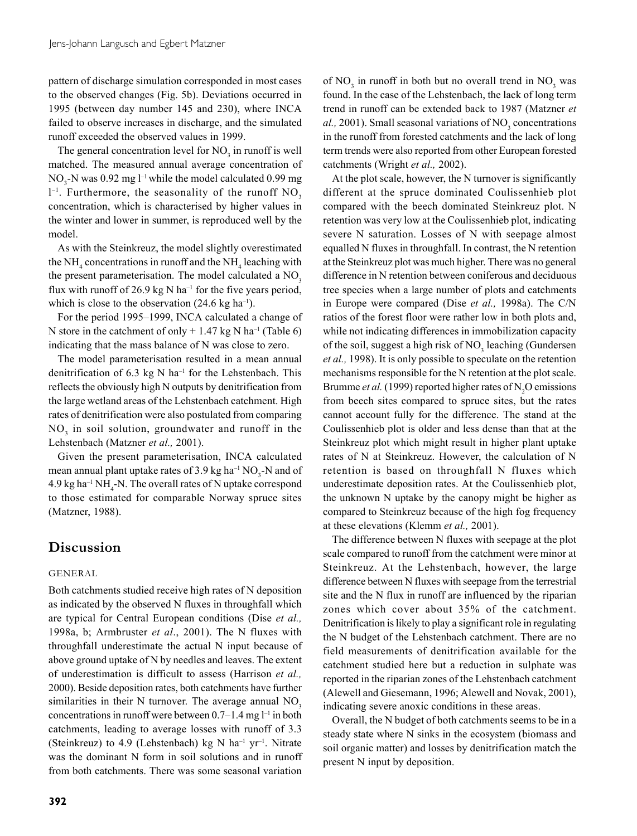pattern of discharge simulation corresponded in most cases to the observed changes (Fig. 5b). Deviations occurred in 1995 (between day number 145 and 230), where INCA failed to observe increases in discharge, and the simulated runoff exceeded the observed values in 1999.

The general concentration level for  $NO<sub>3</sub>$  in runoff is well matched. The measured annual average concentration of  $NO<sub>3</sub>$ -N was 0.92 mg l<sup>-1</sup> while the model calculated 0.99 mg  $l^{-1}$ . Furthermore, the seasonality of the runoff NO<sub>3</sub> concentration, which is characterised by higher values in the winter and lower in summer, is reproduced well by the model.

As with the Steinkreuz, the model slightly overestimated the NH<sub>4</sub> concentrations in runoff and the NH<sub>4</sub> leaching with the present parameterisation. The model calculated a  $NO<sub>3</sub>$ flux with runoff of 26.9 kg N ha<sup>-1</sup> for the five years period, which is close to the observation  $(24.6 \text{ kg ha}^{-1})$ .

For the period 1995–1999, INCA calculated a change of N store in the catchment of only  $+ 1.47$  kg N ha<sup>-1</sup> (Table 6) indicating that the mass balance of N was close to zero.

The model parameterisation resulted in a mean annual denitrification of  $6.3 \text{ kg}$  N ha<sup>-1</sup> for the Lehstenbach. This reflects the obviously high N outputs by denitrification from the large wetland areas of the Lehstenbach catchment. High rates of denitrification were also postulated from comparing NO<sub>3</sub> in soil solution, groundwater and runoff in the Lehstenbach (Matzner *et al.,* 2001).

Given the present parameterisation, INCA calculated mean annual plant uptake rates of 3.9 kg ha<sup>-1</sup> NO<sub>3</sub>-N and of  $4.9 \text{ kg} \text{ ha}^{-1} \text{ NH}_4\text{-N}$ . The overall rates of N uptake correspond to those estimated for comparable Norway spruce sites (Matzner, 1988).

## **Discussion**

#### GENERAL

Both catchments studied receive high rates of N deposition as indicated by the observed N fluxes in throughfall which are typical for Central European conditions (Dise *et al.,* 1998a, b; Armbruster *et al*., 2001). The N fluxes with throughfall underestimate the actual N input because of above ground uptake of N by needles and leaves. The extent of underestimation is difficult to assess (Harrison *et al.,* 2000). Beside deposition rates, both catchments have further similarities in their  $N$  turnover. The average annual  $NO<sub>3</sub>$ concentrations in runoff were between  $0.7-1.4$  mg  $l^{-1}$  in both catchments, leading to average losses with runoff of 3.3 (Steinkreuz) to 4.9 (Lehstenbach) kg N ha<sup>-1</sup> yr<sup>-1</sup>. Nitrate was the dominant N form in soil solutions and in runoff from both catchments. There was some seasonal variation

**392**

of  $NO<sub>3</sub>$  in runoff in both but no overall trend in  $NO<sub>3</sub>$  was found. In the case of the Lehstenbach, the lack of long term trend in runoff can be extended back to 1987 (Matzner *et*  $al.$ , 2001). Small seasonal variations of  $NO<sub>3</sub>$  concentrations in the runoff from forested catchments and the lack of long term trends were also reported from other European forested catchments (Wright *et al.,* 2002).

At the plot scale, however, the N turnover is significantly different at the spruce dominated Coulissenhieb plot compared with the beech dominated Steinkreuz plot. N retention was very low at the Coulissenhieb plot, indicating severe N saturation. Losses of N with seepage almost equalled N fluxes in throughfall. In contrast, the N retention at the Steinkreuz plot was much higher. There was no general difference in N retention between coniferous and deciduous tree species when a large number of plots and catchments in Europe were compared (Dise *et al.,* 1998a). The C/N ratios of the forest floor were rather low in both plots and, while not indicating differences in immobilization capacity of the soil, suggest a high risk of  $NO<sub>3</sub>$  leaching (Gundersen *et al.,* 1998). It is only possible to speculate on the retention mechanisms responsible for the N retention at the plot scale. Brumme *et al.* (1999) reported higher rates of  $N_2O$  emissions from beech sites compared to spruce sites, but the rates cannot account fully for the difference. The stand at the Coulissenhieb plot is older and less dense than that at the Steinkreuz plot which might result in higher plant uptake rates of N at Steinkreuz. However, the calculation of N retention is based on throughfall N fluxes which underestimate deposition rates. At the Coulissenhieb plot, the unknown N uptake by the canopy might be higher as compared to Steinkreuz because of the high fog frequency at these elevations (Klemm *et al.,* 2001).

The difference between N fluxes with seepage at the plot scale compared to runoff from the catchment were minor at Steinkreuz. At the Lehstenbach, however, the large difference between N fluxes with seepage from the terrestrial site and the N flux in runoff are influenced by the riparian zones which cover about 35% of the catchment. Denitrification is likely to play a significant role in regulating the N budget of the Lehstenbach catchment. There are no field measurements of denitrification available for the catchment studied here but a reduction in sulphate was reported in the riparian zones of the Lehstenbach catchment (Alewell and Giesemann, 1996; Alewell and Novak, 2001), indicating severe anoxic conditions in these areas.

Overall, the N budget of both catchments seems to be in a steady state where N sinks in the ecosystem (biomass and soil organic matter) and losses by denitrification match the present N input by deposition.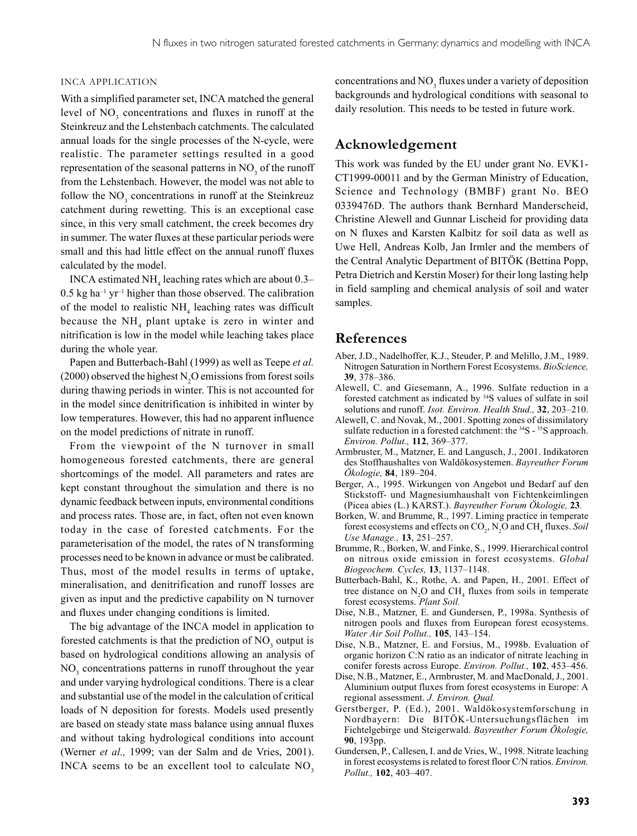#### INCA APPLICATION

With a simplified parameter set, INCA matched the general level of  $NO<sub>3</sub>$  concentrations and fluxes in runoff at the Steinkreuz and the Lehstenbach catchments. The calculated annual loads for the single processes of the N-cycle, were realistic. The parameter settings resulted in a good representation of the seasonal patterns in  $NO<sub>3</sub>$  of the runoff from the Lehstenbach. However, the model was not able to follow the  $NO<sub>3</sub>$  concentrations in runoff at the Steinkreuz catchment during rewetting. This is an exceptional case since, in this very small catchment, the creek becomes dry in summer. The water fluxes at these particular periods were small and this had little effect on the annual runoff fluxes calculated by the model.

INCA estimated  $NH<sub>4</sub>$  leaching rates which are about 0.3–  $0.5$  kg ha<sup>-1</sup> yr<sup>-1</sup> higher than those observed. The calibration of the model to realistic  $NH<sub>4</sub>$  leaching rates was difficult because the  $NH<sub>4</sub>$  plant uptake is zero in winter and nitrification is low in the model while leaching takes place during the whole year.

Papen and Butterbach-Bahl (1999) as well as Teepe *et al.*  $(2000)$  observed the highest N<sub>2</sub>O emissions from forest soils during thawing periods in winter. This is not accounted for in the model since denitrification is inhibited in winter by low temperatures. However, this had no apparent influence on the model predictions of nitrate in runoff.

From the viewpoint of the N turnover in small homogeneous forested catchments, there are general shortcomings of the model. All parameters and rates are kept constant throughout the simulation and there is no dynamic feedback between inputs, environmental conditions and process rates. Those are, in fact, often not even known today in the case of forested catchments. For the parameterisation of the model, the rates of N transforming processes need to be known in advance or must be calibrated. Thus, most of the model results in terms of uptake, mineralisation, and denitrification and runoff losses are given as input and the predictive capability on N turnover and fluxes under changing conditions is limited.

The big advantage of the INCA model in application to forested catchments is that the prediction of  $NO<sub>3</sub>$  output is based on hydrological conditions allowing an analysis of NO<sub>3</sub> concentrations patterns in runoff throughout the year and under varying hydrological conditions. There is a clear and substantial use of the model in the calculation of critical loads of N deposition for forests. Models used presently are based on steady state mass balance using annual fluxes and without taking hydrological conditions into account (Werner *et al.,* 1999; van der Salm and de Vries, 2001). INCA seems to be an excellent tool to calculate  $NO<sub>3</sub>$ 

concentrations and  $NO<sub>3</sub>$  fluxes under a variety of deposition backgrounds and hydrological conditions with seasonal to daily resolution. This needs to be tested in future work.

### **Acknowledgement**

This work was funded by the EU under grant No. EVK1- CT1999-00011 and by the German Ministry of Education, Science and Technology (BMBF) grant No. BEO 0339476D. The authors thank Bernhard Manderscheid, Christine Alewell and Gunnar Lischeid for providing data on N fluxes and Karsten Kalbitz for soil data as well as Uwe Hell, Andreas Kolb, Jan Irmler and the members of the Central Analytic Department of BITÖK (Bettina Popp, Petra Dietrich and Kerstin Moser) for their long lasting help in field sampling and chemical analysis of soil and water samples.

### **References**

- Aber, J.D., Nadelhoffer, K.J., Steuder, P. and Melillo, J.M., 1989. Nitrogen Saturation in Northern Forest Ecosystems. *BioScience,* **39**, 378–386.
- Alewell, C. and Giesemann, A., 1996. Sulfate reduction in a forested catchment as indicated by 34S values of sulfate in soil solutions and runoff. *Isot. Environ. Health Stud.,* **32**, 203–210.
- Alewell, C. and Novak, M., 2001. Spotting zones of dissimilatory sulfate reduction in a forested catchment: the <sup>34</sup>S - <sup>35</sup>S approach. *Environ. Pollut.,* **112**, 369–377.
- Armbruster, M., Matzner, E. and Langusch, J., 2001. Indikatoren des Stoffhaushaltes von Waldökosystemen. *Bayreuther Forum Ökologie,* **84**, 189–204.
- Berger, A., 1995. Wirkungen von Angebot und Bedarf auf den Stickstoff- und Magnesiumhaushalt von Fichtenkeimlingen (Picea abies (L.) KARST.). *Bayreuther Forum Ökologie,* **23***.*
- Borken, W. and Brumme, R., 1997. Liming practice in temperate forest ecosystems and effects on CO<sub>2</sub>, N<sub>2</sub>O and CH<sub>4</sub> fluxes. *Soil Use Manage.,* **13**, 251–257.
- Brumme, R., Borken, W. and Finke, S., 1999. Hierarchical control on nitrous oxide emission in forest ecosystems. *Global Biogeochem. Cycles,* **13**, 1137–1148.
- Butterbach-Bahl, K., Rothe, A. and Papen, H., 2001. Effect of tree distance on  $N_2O$  and  $CH_4$  fluxes from soils in temperate forest ecosystems. *Plant Soil.*
- Dise, N.B., Matzner, E. and Gundersen, P., 1998a. Synthesis of nitrogen pools and fluxes from European forest ecosystems. *Water Air Soil Pollut.,* **105**, 143–154.
- Dise, N.B., Matzner, E. and Forsius, M., 1998b. Evaluation of organic horizon C:N ratio as an indicator of nitrate leaching in conifer forests across Europe. *Environ. Pollut.,* **102**, 453–456.
- Dise, N.B., Matzner, E., Armbruster, M. and MacDonald, J., 2001. Aluminium output fluxes from forest ecosystems in Europe: A regional assessment. *J. Environ. Qual.*
- Gerstberger, P. (Ed.), 2001. Waldökosystemforschung in Nordbayern: Die BITÖK-Untersuchungsflächen im Fichtelgebirge und Steigerwald. *Bayreuther Forum Ökologie,* **90**, 193pp.
- Gundersen, P., Callesen, I. and de Vries, W., 1998. Nitrate leaching in forest ecosystems is related to forest floor C/N ratios. *Environ. Pollut.,* **102**, 403–407.